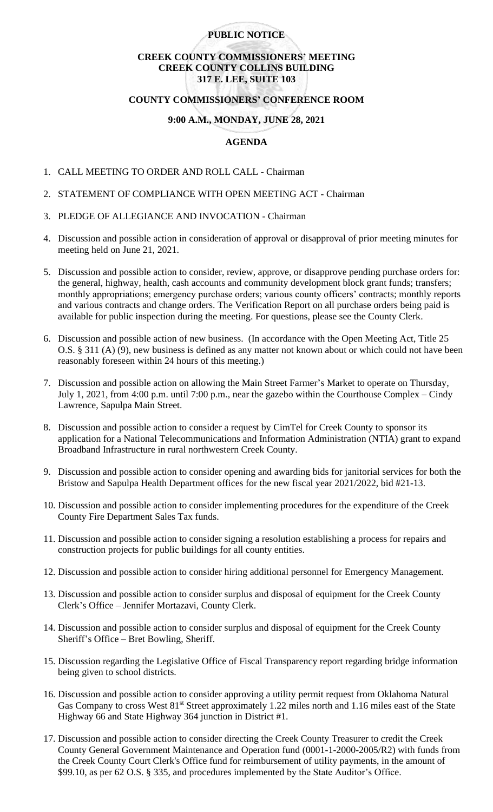# **PUBLIC NOTICE**

# **CREEK COUNTY COMMISSIONERS' MEETING CREEK COUNTY COLLINS BUILDING 317 E. LEE, SUITE 103**

### **COUNTY COMMISSIONERS' CONFERENCE ROOM**

### **9:00 A.M., MONDAY, JUNE 28, 2021**

# **AGENDA**

- 1. CALL MEETING TO ORDER AND ROLL CALL Chairman
- 2. STATEMENT OF COMPLIANCE WITH OPEN MEETING ACT Chairman
- 3. PLEDGE OF ALLEGIANCE AND INVOCATION Chairman
- 4. Discussion and possible action in consideration of approval or disapproval of prior meeting minutes for meeting held on June 21, 2021.
- 5. Discussion and possible action to consider, review, approve, or disapprove pending purchase orders for: the general, highway, health, cash accounts and community development block grant funds; transfers; monthly appropriations; emergency purchase orders; various county officers' contracts; monthly reports and various contracts and change orders. The Verification Report on all purchase orders being paid is available for public inspection during the meeting. For questions, please see the County Clerk.
- 6. Discussion and possible action of new business. (In accordance with the Open Meeting Act, Title 25 O.S. § 311 (A) (9), new business is defined as any matter not known about or which could not have been reasonably foreseen within 24 hours of this meeting.)
- 7. Discussion and possible action on allowing the Main Street Farmer's Market to operate on Thursday, July 1, 2021, from 4:00 p.m. until 7:00 p.m., near the gazebo within the Courthouse Complex – Cindy Lawrence, Sapulpa Main Street.
- 8. Discussion and possible action to consider a request by CimTel for Creek County to sponsor its application for a National Telecommunications and Information Administration (NTIA) grant to expand Broadband Infrastructure in rural northwestern Creek County.
- 9. Discussion and possible action to consider opening and awarding bids for janitorial services for both the Bristow and Sapulpa Health Department offices for the new fiscal year 2021/2022, bid #21-13.
- 10. Discussion and possible action to consider implementing procedures for the expenditure of the Creek County Fire Department Sales Tax funds.
- 11. Discussion and possible action to consider signing a resolution establishing a process for repairs and construction projects for public buildings for all county entities.
- 12. Discussion and possible action to consider hiring additional personnel for Emergency Management.
- 13. Discussion and possible action to consider surplus and disposal of equipment for the Creek County Clerk's Office – Jennifer Mortazavi, County Clerk.
- 14. Discussion and possible action to consider surplus and disposal of equipment for the Creek County Sheriff's Office – Bret Bowling, Sheriff.
- 15. Discussion regarding the Legislative Office of Fiscal Transparency report regarding bridge information being given to school districts.
- 16. Discussion and possible action to consider approving a utility permit request from Oklahoma Natural Gas Company to cross West 81<sup>st</sup> Street approximately 1.22 miles north and 1.16 miles east of the State Highway 66 and State Highway 364 junction in District #1.
- 17. Discussion and possible action to consider directing the Creek County Treasurer to credit the Creek County General Government Maintenance and Operation fund (0001-1-2000-2005/R2) with funds from the Creek County Court Clerk's Office fund for reimbursement of utility payments, in the amount of \$99.10, as per 62 O.S. § 335, and procedures implemented by the State Auditor's Office.